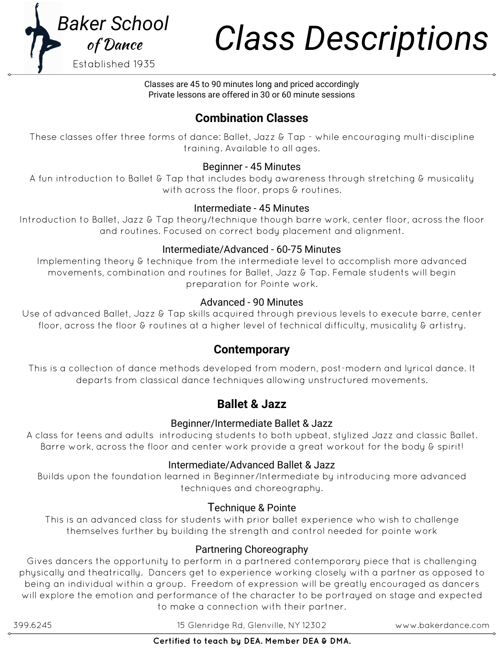

# *Class Descriptions Baker School*

Classes are 45 to 90 minutes long and priced accordingly Private lessons are offered in 30 or 60 minute sessions

# **Combination Classes**

These classes offer three forms of dance: Ballet, Jazz & Tap - while encouraging multi-discipline training. Available to all ages.

### Beginner - 45 Minutes

A fun introduction to Ballet & Tap that includes body awareness through stretching & musicality with across the floor, props & routines.

### Intermediate - 45 Minutes

Introduction to Ballet, Jazz & Tap theory/technique though barre work, center floor, across the floor and routines. Focused on correct body placement and alignment.

### Intermediate/Advanced - 60-75 Minutes

Implementing theory & technique from the intermediate level to accomplish more advanced movements, combination and routines for Ballet, Jazz & Tap. Female students will begin preparation for Pointe work.

### Advanced - 90 Minutes

Use of advanced Ballet, Jazz & Tap skills acquired through previous levels to execute barre, center floor, across the floor & routines at a higher level of technical difficulty, musicality & artistry.

# **Contemporary**

This is a collection of dance methods developed from modern, post-modern and lyrical dance. It departs from classical dance techniques allowing unstructured movements.

# **Ballet & Jazz**

### Beginner/Intermediate Ballet & Jazz

A class for teens and adults introducing students to both upbeat, stylized Jazz and classic Ballet. Barre work, across the floor and center work provide a great workout for the body & spirit!

### Intermediate/Advanced Ballet & Jazz

Builds upon the foundation learned in Beginner/Intermediate by introducing more advanced techniques and choreography.

### Technique & Pointe

This is an advanced class for students with prior ballet experience who wish to challenge themselves further by building the strength and control needed for pointe work

# Partnering Choreography

Gives dancers the opportunity to perform in a partnered contemporary piece that is challenging physically and theatrically. Dancers get to experience working closely with a partner as opposed to being an individual within a group. Freedom of expression will be greatly encouraged as dancers will explore the emotion and performance of the character to be portrayed on stage and expected to make a connection with their partner.

399.6245 15 Glenridge Rd, Glenville, NY 12302 www.bakerdance.com